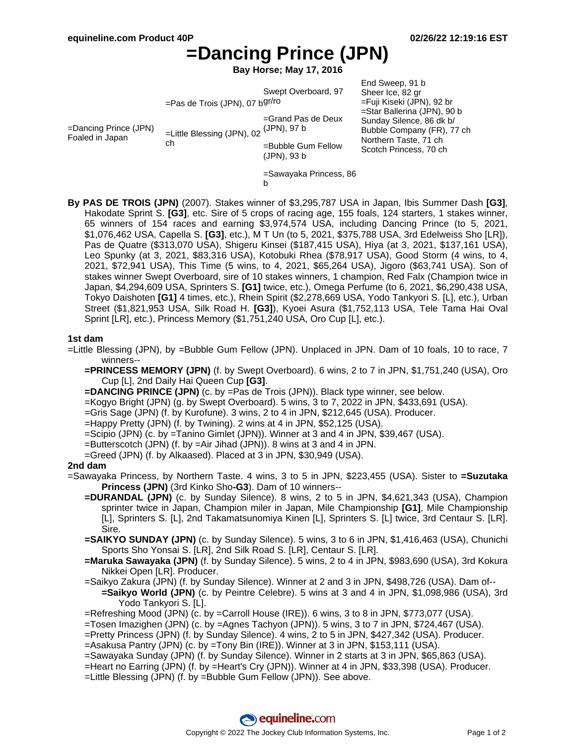Scotch Princess, 70 ch

# **=Dancing Prince (JPN)**

**Bay Horse; May 17, 2016**

|                     | =Pas de Trois (JPN), 07 b <sup>gr/ro</sup> | Swept Overboard, 97                                     | End Sweep, 91 b<br>Sheer Ice, 82 gr<br>=Fuji Kiseki (JPN), 92 br                                               |
|---------------------|--------------------------------------------|---------------------------------------------------------|----------------------------------------------------------------------------------------------------------------|
| rince (JPN)<br>apan | =Little Blessing (JPN), 02<br>сh           | $=$ Grand Pas de Deux<br>(JPN), 97 b<br>$D + L = D + L$ | =Star Ballerina (JPN), 90 b<br>Sunday Silence, 86 dk b/<br>Bubble Company (FR), 77 ch<br>Northern Taste, 71 ch |

=Bubble Gum Fellow (JPN), 93 b

 $=$ Dancing P Foaled in Japa

=Sawayaka Princess, 86

- b
- **By PAS DE TROIS (JPN)** (2007). Stakes winner of \$3,295,787 USA in Japan, Ibis Summer Dash **[G3]**, Hakodate Sprint S. [G3], etc. Sire of 5 crops of racing age, 155 foals, 124 starters, 1 stakes winner, 65 winners of 154 races and earning \$3,974,574 USA, including Dancing Prince (to 5, 2021, \$1,076,462 USA, Capella S. **[G3]**, etc.), M T Un (to 5, 2021, \$375,788 USA, 3rd Edelweiss Sho [LR]), Pas de Quatre (\$313,070 USA), Shigeru Kinsei (\$187,415 USA), Hiya (at 3, 2021, \$137,161 USA), Leo Spunky (at 3, 2021, \$83,316 USA), Kotobuki Rhea (\$78,917 USA), Good Storm (4 wins, to 4, 2021, \$72,941 USA), This Time (5 wins, to 4, 2021, \$65,264 USA), Jigoro (\$63,741 USA). Son of stakes winner Swept Overboard, sire of 10 stakes winners, 1 champion, Red Falx (Champion twice in Japan, \$4,294,609 USA, Sprinters S. **[G1]** twice, etc.), Omega Perfume (to 6, 2021, \$6,290,438 USA, Tokyo Daishoten **[G1]** 4 times, etc.), Rhein Spirit (\$2,278,669 USA, Yodo Tankyori S. [L], etc.), Urban Street (\$1,821,953 USA, Silk Road H. **[G3]**), Kyoei Asura (\$1,752,113 USA, Tele Tama Hai Oval Sprint [LR], etc.), Princess Memory (\$1,751,240 USA, Oro Cup [L], etc.).

## **1st dam**

=Little Blessing (JPN), by =Bubble Gum Fellow (JPN). Unplaced in JPN. Dam of 10 foals, 10 to race, 7 winners--

**=PRINCESS MEMORY (JPN)** (f. by Swept Overboard). 6 wins, 2 to 7 in JPN, \$1,751,240 (USA), Oro Cup [L], 2nd Daily Hai Queen Cup **[G3]**.

- **=DANCING PRINCE (JPN)** (c. by =Pas de Trois (JPN)). Black type winner, see below.
- =Kogyo Bright (JPN) (g. by Swept Overboard). 5 wins, 3 to 7, 2022 in JPN, \$433,691 (USA).
- =Gris Sage (JPN) (f. by Kurofune). 3 wins, 2 to 4 in JPN, \$212,645 (USA). Producer.

=Happy Pretty (JPN) (f. by Twining). 2 wins at 4 in JPN, \$52,125 (USA).

- =Scipio (JPN) (c. by =Tanino Gimlet (JPN)). Winner at 3 and 4 in JPN, \$39,467 (USA).
- =Butterscotch (JPN) (f. by =Air Jihad (JPN)). 8 wins at 3 and 4 in JPN.
- =Greed (JPN) (f. by Alkaased). Placed at 3 in JPN, \$30,949 (USA).

### **2nd dam**

- =Sawayaka Princess, by Northern Taste. 4 wins, 3 to 5 in JPN, \$223,455 (USA). Sister to **=Suzutaka Princess (JPN)** (3rd Kinko Sho**-G3**). Dam of 10 winners--
	- **=DURANDAL (JPN)** (c. by Sunday Silence). 8 wins, 2 to 5 in JPN, \$4,621,343 (USA), Champion sprinter twice in Japan, Champion miler in Japan, Mile Championship **[G1]**, Mile Championship [L], Sprinters S. [L], 2nd Takamatsunomiya Kinen [L], Sprinters S. [L] twice, 3rd Centaur S. [LR]. Sire.
	- **=SAIKYO SUNDAY (JPN)** (c. by Sunday Silence). 5 wins, 3 to 6 in JPN, \$1,416,463 (USA), Chunichi Sports Sho Yonsai S. [LR], 2nd Silk Road S. [LR], Centaur S. [LR].
	- **=Maruka Sawayaka (JPN)** (f. by Sunday Silence). 5 wins, 2 to 4 in JPN, \$983,690 (USA), 3rd Kokura Nikkei Open [LR]. Producer.
	- =Saikyo Zakura (JPN) (f. by Sunday Silence). Winner at 2 and 3 in JPN, \$498,726 (USA). Dam of-- **=Saikyo World (JPN)** (c. by Peintre Celebre). 5 wins at 3 and 4 in JPN, \$1,098,986 (USA), 3rd Yodo Tankyori S. [L].
	- =Refreshing Mood (JPN) (c. by =Carroll House (IRE)). 6 wins, 3 to 8 in JPN, \$773,077 (USA).
	- =Tosen Imazighen (JPN) (c. by =Agnes Tachyon (JPN)). 5 wins, 3 to 7 in JPN, \$724,467 (USA).
	- =Pretty Princess (JPN) (f. by Sunday Silence). 4 wins, 2 to 5 in JPN, \$427,342 (USA). Producer. =Asakusa Pantry (JPN) (c. by =Tony Bin (IRE)). Winner at 3 in JPN, \$153,111 (USA).
	- =Sawayaka Sunday (JPN) (f. by Sunday Silence). Winner in 2 starts at 3 in JPN, \$65,863 (USA).

=Heart no Earring (JPN) (f. by =Heart's Cry (JPN)). Winner at 4 in JPN, \$33,398 (USA). Producer.

=Little Blessing (JPN) (f. by =Bubble Gum Fellow (JPN)). See above.